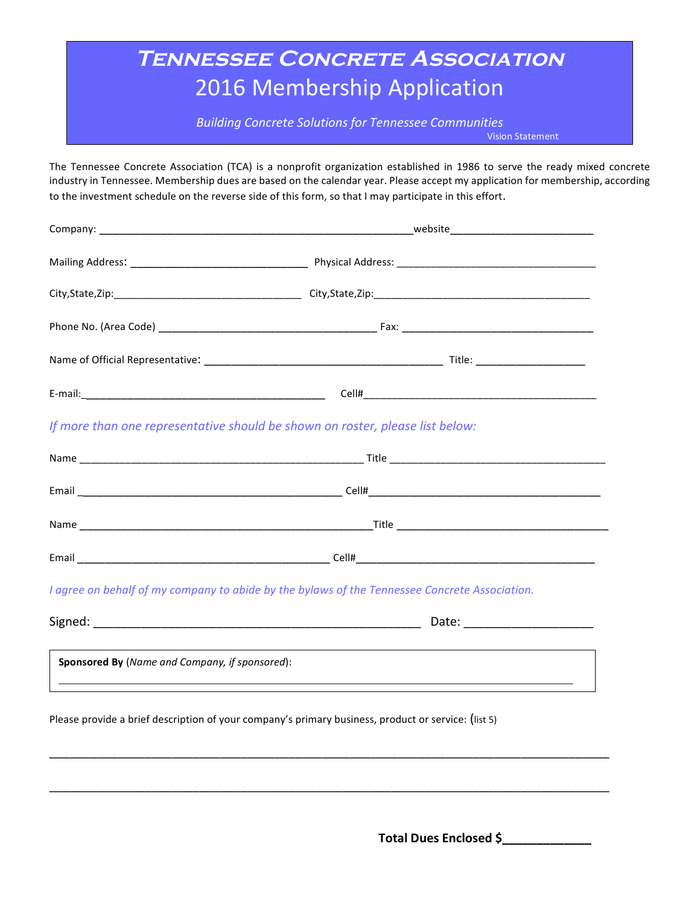## **Tennessee Concrete Association** 2016 Membership Application

**Building Concrete Solutions for Tennessee Communities** 

Vision Statement

The Tennessee Concrete Association (TCA) is a nonprofit organization established in 1986 to serve the ready mixed concrete industry in Tennessee. Membership dues are based on the calendar year. Please accept my application for membership, according to the investment schedule on the reverse side of this form, so that I may participate in this effort.

|                                                | If more than one representative should be shown on roster, please list below:                 |  |  |  |
|------------------------------------------------|-----------------------------------------------------------------------------------------------|--|--|--|
|                                                |                                                                                               |  |  |  |
|                                                |                                                                                               |  |  |  |
|                                                |                                                                                               |  |  |  |
|                                                |                                                                                               |  |  |  |
|                                                | I agree on behalf of my company to abide by the bylaws of the Tennessee Concrete Association. |  |  |  |
|                                                |                                                                                               |  |  |  |
| Sponsored By (Name and Company, if sponsored): |                                                                                               |  |  |  |
|                                                |                                                                                               |  |  |  |

Please provide a brief description of your company's primary business, product or service: (list 5)

\_\_\_\_\_\_\_\_\_\_\_\_\_\_\_\_\_\_\_\_\_\_\_\_\_\_\_\_\_\_\_\_\_\_\_\_\_\_\_\_\_\_\_\_\_\_\_\_\_\_\_\_\_\_\_\_\_\_\_\_\_\_\_\_\_\_\_\_\_\_\_\_\_\_\_\_\_\_\_\_\_\_

\_\_\_\_\_\_\_\_\_\_\_\_\_\_\_\_\_\_\_\_\_\_\_\_\_\_\_\_\_\_\_\_\_\_\_\_\_\_\_\_\_\_\_\_\_\_\_\_\_\_\_\_\_\_\_\_\_\_\_\_\_\_\_\_\_\_\_\_\_\_\_\_\_\_\_\_\_\_\_\_\_\_

Total Dues Enclosed \$